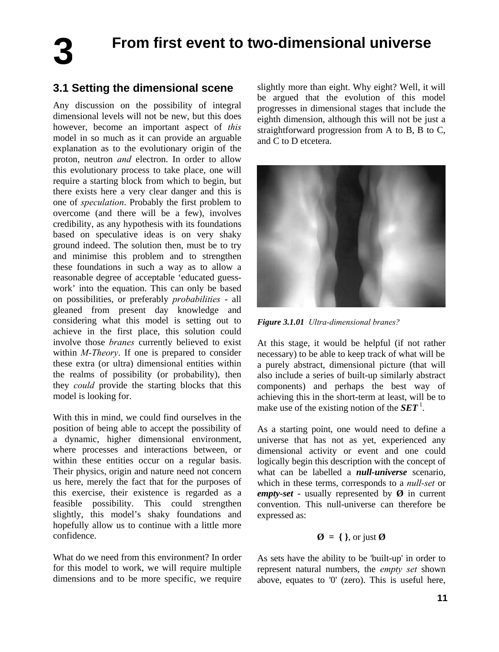**3**

# **From first event to two-dimensional universe**

## **3.1 Setting the dimensional scene**

Any discussion on the possibility of integral dimensional levels will not be new, but this does however, become an important aspect of *this* model in so much as it can provide an arguable explanation as to the evolutionary origin of the proton, neutron *and* electron. In order to allow this evolutionary process to take place, one will require a starting block from which to begin, but there exists here a very clear danger and this is one of *speculation*. Probably the first problem to overcome (and there will be a few), involves credibility, as any hypothesis with its foundations based on speculative ideas is on very shaky ground indeed. The solution then, must be to try and minimise this problem and to strengthen these foundations in such a way as to allow a reasonable degree of acceptable 'educated guesswork' into the equation. This can only be based on possibilities, or preferably *probabilities* - all gleaned from present day knowledge and considering what this model is setting out to achieve in the first place, this solution could involve those *branes* currently believed to exist within *M-Theory*. If one is prepared to consider these extra (or ultra) dimensional entities within the realms of possibility (or probability), then they *could* provide the starting blocks that this model is looking for.

With this in mind, we could find ourselves in the position of being able to accept the possibility of a dynamic, higher dimensional environment, where processes and interactions between, or within these entities occur on a regular basis. Their physics, origin and nature need not concern us here, merely the fact that for the purposes of this exercise, their existence is regarded as a feasible possibility. This could strengthen slightly, this model's shaky foundations and hopefully allow us to continue with a little more confidence.

What do we need from this environment? In order for this model to work, we will require multiple dimensions and to be more specific, we require

slightly more than eight. Why eight? Well, it will be argued that the evolution of this model progresses in dimensional stages that include the eighth dimension, although this will not be just a straightforward progression from A to B, B to C, and C to D etcetera.



*Figure 3.1.01 Ultra-dimensional branes?* 

At this stage, it would be helpful (if not rather necessary) to be able to keep track of what will be a purely abstract, dimensional picture (that will also include a series of built-up similarly abstract components) and perhaps the best way of achieving this in the short-term at least, will be to make use of the existing notion of the  $SET<sup>1</sup>$ .

As a starting point, one would need to define a universe that has not as yet, experienced any dimensional activity or event and one could logically begin this description with the concept of what can be labelled a *null-universe* scenario, which in these terms, corresponds to a *null-set* or *empty-set* - usually represented by  $\emptyset$  in current convention. This null-universe can therefore be expressed as:

#### $\emptyset = \{\}$ , or just  $\emptyset$

As sets have the ability to be 'built-up' in order to represent natural numbers, the *empty set* shown above, equates to '0' (zero). This is useful here,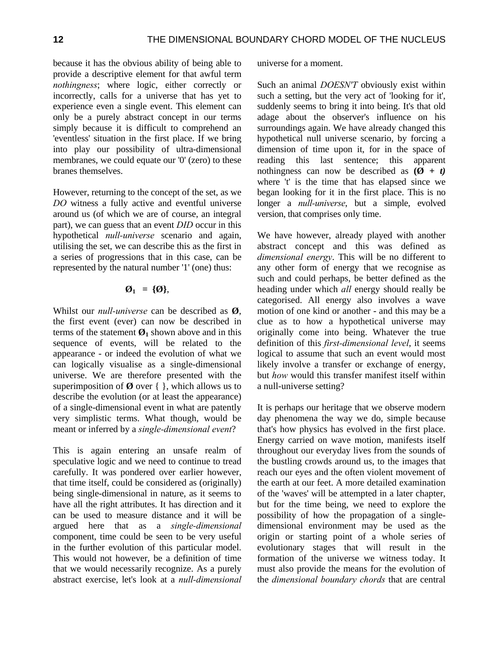because it has the obvious ability of being able to provide a descriptive element for that awful term *nothingness*; where logic, either correctly or incorrectly, calls for a universe that has yet to experience even a single event. This element can only be a purely abstract concept in our terms simply because it is difficult to comprehend an 'eventless' situation in the first place. If we bring into play our possibility of ultra-dimensional membranes, we could equate our '0' (zero) to these branes themselves.

However, returning to the concept of the set, as we *DO* witness a fully active and eventful universe around us (of which we are of course, an integral part), we can guess that an event *DID* occur in this hypothetical *null-universe* scenario and again, utilising the set, we can describe this as the first in a series of progressions that in this case, can be represented by the natural number '1' (one) thus:

#### $\emptyset_1 = {\emptyset},$

Whilst our *null-universe* can be described as **Ø**, the first event (ever) can now be described in terms of the statement  $\mathcal{O}_1$  shown above and in this sequence of events, will be related to the appearance - or indeed the evolution of what we can logically visualise as a single-dimensional universe. We are therefore presented with the superimposition of  $\emptyset$  over  $\{\}$ , which allows us to describe the evolution (or at least the appearance) of a single-dimensional event in what are patently very simplistic terms. What though, would be meant or inferred by a *single-dimensional event*?

This is again entering an unsafe realm of speculative logic and we need to continue to tread carefully. It was pondered over earlier however, that time itself, could be considered as (originally) being single-dimensional in nature, as it seems to have all the right attributes. It has direction and it can be used to measure distance and it will be argued here that as a *single-dimensional* component, time could be seen to be very useful in the further evolution of this particular model. This would not however, be a definition of time that we would necessarily recognize. As a purely abstract exercise, let's look at a *null-dimensional*

universe for a moment.

Such an animal *DOESN'T* obviously exist within such a setting, but the very act of 'looking for it', suddenly seems to bring it into being. It's that old adage about the observer's influence on his surroundings again. We have already changed this hypothetical null universe scenario, by forcing a dimension of time upon it, for in the space of reading this last sentence; this apparent nothingness can now be described as  $(\emptyset + t)$ where 't' is the time that has elapsed since we began looking for it in the first place. This is no longer a *null-universe*, but a simple, evolved version, that comprises only time.

We have however, already played with another abstract concept and this was defined as *dimensional energy*. This will be no different to any other form of energy that we recognise as such and could perhaps, be better defined as the heading under which *all* energy should really be categorised. All energy also involves a wave motion of one kind or another - and this may be a clue as to how a hypothetical universe may originally come into being. Whatever the true definition of this *first-dimensional level*, it seems logical to assume that such an event would most likely involve a transfer or exchange of energy, but *how* would this transfer manifest itself within a null-universe setting?

It is perhaps our heritage that we observe modern day phenomena the way we do, simple because that's how physics has evolved in the first place. Energy carried on wave motion, manifests itself throughout our everyday lives from the sounds of the bustling crowds around us, to the images that reach our eyes and the often violent movement of the earth at our feet. A more detailed examination of the 'waves' will be attempted in a later chapter, but for the time being, we need to explore the possibility of how the propagation of a singledimensional environment may be used as the origin or starting point of a whole series of evolutionary stages that will result in the formation of the universe we witness today. It must also provide the means for the evolution of the *dimensional boundary chords* that are central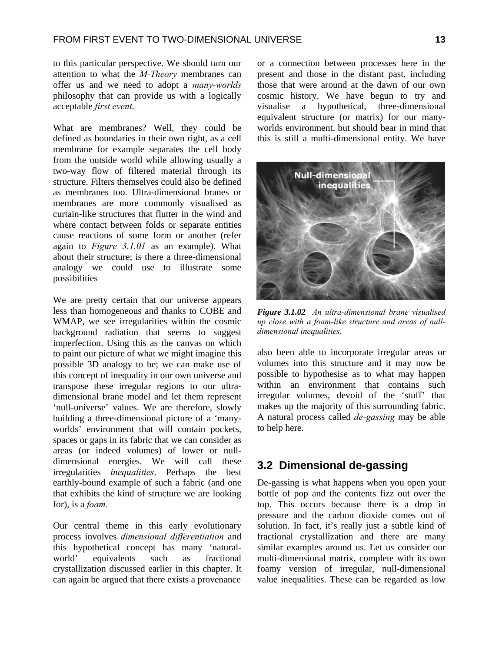to this particular perspective. We should turn our attention to what the *M-Theory* membranes can offer us and we need to adopt a *many-worlds* philosophy that can provide us with a logically acceptable *first event*.

What are membranes? Well, they could be defined as boundaries in their own right, as a cell membrane for example separates the cell body from the outside world while allowing usually a two-way flow of filtered material through its structure. Filters themselves could also be defined as membranes too. Ultra-dimensional branes or membranes are more commonly visualised as curtain-like structures that flutter in the wind and where contact between folds or separate entities cause reactions of some form or another (refer again to *Figure 3.1.01* as an example). What about their structure; is there a three-dimensional analogy we could use to illustrate some possibilities

We are pretty certain that our universe appears less than homogeneous and thanks to COBE and WMAP, we see irregularities within the cosmic background radiation that seems to suggest imperfection. Using this as the canvas on which to paint our picture of what we might imagine this possible 3D analogy to be; we can make use of this concept of inequality in our own universe and transpose these irregular regions to our ultradimensional brane model and let them represent 'null-universe' values. We are therefore, slowly building a three-dimensional picture of a 'manyworlds' environment that will contain pockets, spaces or gaps in its fabric that we can consider as areas (or indeed volumes) of lower or nulldimensional energies. We will call these irregularities *inequalities*. Perhaps the best earthly-bound example of such a fabric (and one that exhibits the kind of structure we are looking for), is a *foam*.

Our central theme in this early evolutionary process involves *dimensional differentiation* and this hypothetical concept has many 'naturalworld' equivalents such as fractional crystallization discussed earlier in this chapter. It can again be argued that there exists a provenance or a connection between processes here in the present and those in the distant past, including those that were around at the dawn of our own cosmic history. We have begun to try and visualise a hypothetical, three-dimensional equivalent structure (or matrix) for our manyworlds environment, but should bear in mind that this is still a multi-dimensional entity. We have



*Figure 3.1.02 An ultra-dimensional brane visualised up close with a foam-like structure and areas of nulldimensional inequalities.* 

also been able to incorporate irregular areas or volumes into this structure and it may now be possible to hypothesise as to what may happen within an environment that contains such irregular volumes, devoid of the 'stuff' that makes up the majority of this surrounding fabric. A natural process called *de-gassing* may be able to help here.

### **3.2 Dimensional de-gassing**

De-gassing is what happens when you open your bottle of pop and the contents fizz out over the top. This occurs because there is a drop in pressure and the carbon dioxide comes out of solution. In fact, it's really just a subtle kind of fractional crystallization and there are many similar examples around us. Let us consider our multi-dimensional matrix, complete with its own foamy version of irregular, null-dimensional value inequalities. These can be regarded as low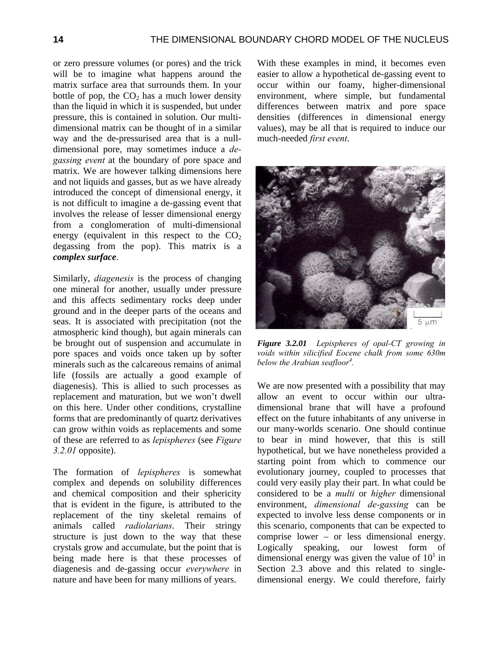or zero pressure volumes (or pores) and the trick will be to imagine what happens around the matrix surface area that surrounds them. In your bottle of pop, the  $CO<sub>2</sub>$  has a much lower density than the liquid in which it is suspended, but under pressure, this is contained in solution. Our multidimensional matrix can be thought of in a similar way and the de-pressurised area that is a nulldimensional pore, may sometimes induce a *degassing event* at the boundary of pore space and matrix. We are however talking dimensions here and not liquids and gasses, but as we have already introduced the concept of dimensional energy, it is not difficult to imagine a de-gassing event that involves the release of lesser dimensional energy from a conglomeration of multi-dimensional energy (equivalent in this respect to the  $CO<sub>2</sub>$ degassing from the pop). This matrix is a *complex surface*.

Similarly, *diagenesis* is the process of changing one mineral for another, usually under pressure and this affects sedimentary rocks deep under ground and in the deeper parts of the oceans and seas. It is associated with precipitation (not the atmospheric kind though), but again minerals can be brought out of suspension and accumulate in pore spaces and voids once taken up by softer minerals such as the calcareous remains of animal life (fossils are actually a good example of diagenesis). This is allied to such processes as replacement and maturation, but we won't dwell on this here. Under other conditions, crystalline forms that are predominantly of quartz derivatives can grow within voids as replacements and some of these are referred to as *lepispheres* (see *Figure 3.2.01* opposite).

The formation of *lepispheres* is somewhat complex and depends on solubility differences and chemical composition and their sphericity that is evident in the figure, is attributed to the replacement of the tiny skeletal remains of animals called *radiolarians*. Their stringy structure is just down to the way that these crystals grow and accumulate, but the point that is being made here is that these processes of diagenesis and de-gassing occur *everywhere* in nature and have been for many millions of years.

With these examples in mind, it becomes even easier to allow a hypothetical de-gassing event to occur within our foamy, higher-dimensional environment, where simple, but fundamental differences between matrix and pore space densities (differences in dimensional energy values), may be all that is required to induce our much-needed *first event*.



*Figure 3.2.01 Lepispheres of opal-CT growing in voids within silicified Eocene chalk from some 630m below the Arabian seafloor4 .* 

We are now presented with a possibility that may allow an event to occur within our ultradimensional brane that will have a profound effect on the future inhabitants of any universe in our many-worlds scenario. One should continue to bear in mind however, that this is still hypothetical, but we have nonetheless provided a starting point from which to commence our evolutionary journey, coupled to processes that could very easily play their part. In what could be considered to be a *multi* or *higher* dimensional environment, *dimensional de-gassing* can be expected to involve less dense components or in this scenario, components that can be expected to comprise lower – or less dimensional energy. Logically speaking, our lowest form of dimensional energy was given the value of  $10<sup>1</sup>$  in Section 2.3 above and this related to singledimensional energy. We could therefore, fairly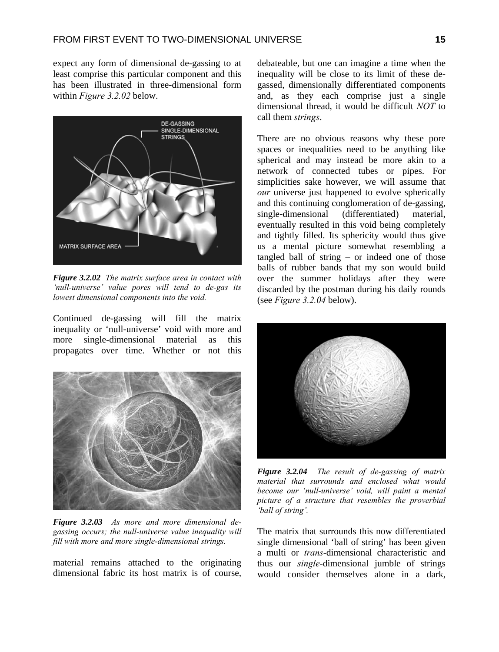expect any form of dimensional de-gassing to at least comprise this particular component and this has been illustrated in three-dimensional form within *Figure 3.2.02* below.



*Figure 3.2.02 The matrix surface area in contact with 'null-universe' value pores will tend to de-gas its lowest dimensional components into the void.* 

Continued de-gassing will fill the matrix inequality or 'null-universe' void with more and more single-dimensional material as this propagates over time. Whether or not this



*Figure 3.2.03 As more and more dimensional degassing occurs; the null-universe value inequality will fill with more and more single-dimensional strings.*

material remains attached to the originating dimensional fabric its host matrix is of course,

debateable, but one can imagine a time when the inequality will be close to its limit of these degassed, dimensionally differentiated components and, as they each comprise just a single dimensional thread, it would be difficult *NOT* to call them *strings*.

There are no obvious reasons why these pore spaces or inequalities need to be anything like spherical and may instead be more akin to a network of connected tubes or pipes. For simplicities sake however, we will assume that *our* universe just happened to evolve spherically and this continuing conglomeration of de-gassing, single-dimensional (differentiated) material, eventually resulted in this void being completely and tightly filled. Its sphericity would thus give us a mental picture somewhat resembling a tangled ball of string – or indeed one of those balls of rubber bands that my son would build over the summer holidays after they were discarded by the postman during his daily rounds (see *Figure 3.2.04* below).



*Figure 3.2.04 The result of de-gassing of matrix material that surrounds and enclosed what would become our 'null-universe' void, will paint a mental picture of a structure that resembles the proverbial 'ball of string'.* 

The matrix that surrounds this now differentiated single dimensional 'ball of string' has been given a multi or *trans*-dimensional characteristic and thus our *single*-dimensional jumble of strings would consider themselves alone in a dark,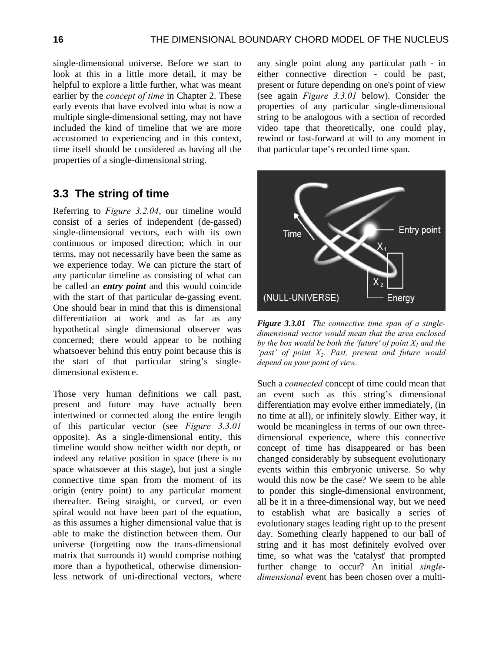single-dimensional universe. Before we start to look at this in a little more detail, it may be helpful to explore a little further, what was meant earlier by the *concept of time* in Chapter 2. These early events that have evolved into what is now a multiple single-dimensional setting, may not have included the kind of timeline that we are more accustomed to experiencing and in this context, time itself should be considered as having all the properties of a single-dimensional string.

## **3.3 The string of time**

Referring to *Figure 3.2.04*, our timeline would consist of a series of independent (de-gassed) single-dimensional vectors, each with its own continuous or imposed direction; which in our terms, may not necessarily have been the same as we experience today. We can picture the start of any particular timeline as consisting of what can be called an *entry point* and this would coincide with the start of that particular de-gassing event. One should bear in mind that this is dimensional differentiation at work and as far as any hypothetical single dimensional observer was concerned; there would appear to be nothing whatsoever behind this entry point because this is the start of that particular string's singledimensional existence.

Those very human definitions we call past, present and future may have actually been intertwined or connected along the entire length of this particular vector (see *Figure 3.3.01* opposite). As a single-dimensional entity, this timeline would show neither width nor depth, or indeed any relative position in space (there is no space whatsoever at this stage), but just a single connective time span from the moment of its origin (entry point) to any particular moment thereafter. Being straight, or curved, or even spiral would not have been part of the equation, as this assumes a higher dimensional value that is able to make the distinction between them. Our universe (forgetting now the trans-dimensional matrix that surrounds it) would comprise nothing more than a hypothetical, otherwise dimensionless network of uni-directional vectors, where

any single point along any particular path - in either connective direction - could be past, present or future depending on one's point of view (see again *Figure 3.3.01* below). Consider the properties of any particular single-dimensional string to be analogous with a section of recorded video tape that theoretically, one could play, rewind or fast-forward at will to any moment in that particular tape's recorded time span.



*Figure 3.3.01 The connective time span of a singledimensional vector would mean that the area enclosed by the box would be both the 'future' of point*  $X_1$  *and the 'past' of point X2. Past, present and future would depend on your point of view.*

Such a *connected* concept of time could mean that an event such as this string's dimensional differentiation may evolve either immediately, (in no time at all), or infinitely slowly. Either way, it would be meaningless in terms of our own threedimensional experience, where this connective concept of time has disappeared or has been changed considerably by subsequent evolutionary events within this embryonic universe. So why would this now be the case? We seem to be able to ponder this single-dimensional environment, all be it in a three-dimensional way, but we need to establish what are basically a series of evolutionary stages leading right up to the present day. Something clearly happened to our ball of string and it has most definitely evolved over time, so what was the 'catalyst' that prompted further change to occur? An initial *singledimensional* event has been chosen over a multi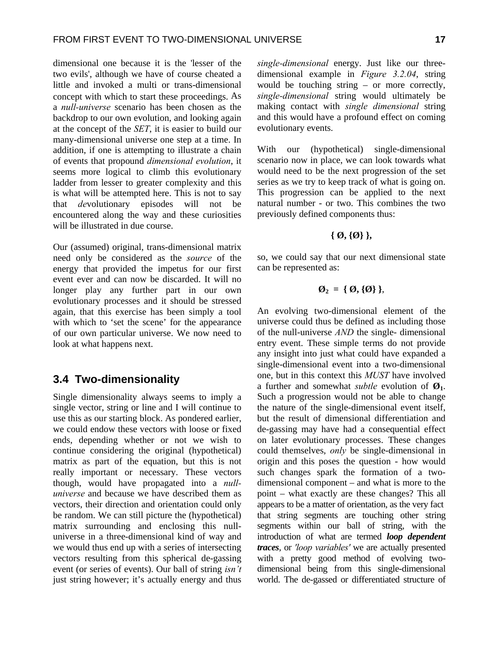dimensional one because it is the 'lesser of the two evils', although we have of course cheated a little and invoked a multi or trans-dimensional concept with which to start these proceedings. As a *null-universe* scenario has been chosen as the backdrop to our own evolution, and looking again at the concept of the *SET*, it is easier to build our many-dimensional universe one step at a time. In addition, if one is attempting to illustrate a chain of events that propound *dimensional evolution*, it seems more logical to climb this evolutionary ladder from lesser to greater complexity and this is what will be attempted here. This is not to say that *de*volutionary episodes will not be encountered along the way and these curiosities will be illustrated in due course.

Our (assumed) original, trans-dimensional matrix need only be considered as the *source* of the energy that provided the impetus for our first event ever and can now be discarded. It will no longer play any further part in our own evolutionary processes and it should be stressed again, that this exercise has been simply a tool with which to 'set the scene' for the appearance of our own particular universe. We now need to look at what happens next.

### **3.4 Two-dimensionality**

Single dimensionality always seems to imply a single vector, string or line and I will continue to use this as our starting block. As pondered earlier, we could endow these vectors with loose or fixed ends, depending whether or not we wish to continue considering the original (hypothetical) matrix as part of the equation, but this is not really important or necessary. These vectors though, would have propagated into a *nulluniverse* and because we have described them as vectors, their direction and orientation could only be random. We can still picture the (hypothetical) matrix surrounding and enclosing this nulluniverse in a three-dimensional kind of way and we would thus end up with a series of intersecting vectors resulting from this spherical de-gassing event (or series of events). Our ball of string *isn't* just string however; it's actually energy and thus *single-dimensional* energy. Just like our threedimensional example in *Figure 3.2.04*, string would be touching string – or more correctly, *single-dimensional* string would ultimately be making contact with *single dimensional* string and this would have a profound effect on coming evolutionary events.

With our (hypothetical) single-dimensional scenario now in place, we can look towards what would need to be the next progression of the set series as we try to keep track of what is going on. This progression can be applied to the next natural number - or two. This combines the two previously defined components thus:

#### **{ Ø, {Ø} },**

so, we could say that our next dimensional state can be represented as:

$$
\emptyset_2 = \{\emptyset, \{\emptyset\}\},\
$$

An evolving two-dimensional element of the universe could thus be defined as including those of the null-universe *AND* the single- dimensional entry event. These simple terms do not provide any insight into just what could have expanded a single-dimensional event into a two-dimensional one, but in this context this *MUST* have involved a further and somewhat *subtle* evolution of  $\mathbf{\emptyset}_{1}$ . Such a progression would not be able to change the nature of the single-dimensional event itself, but the result of dimensional differentiation and de-gassing may have had a consequential effect on later evolutionary processes. These changes could themselves, *only* be single-dimensional in origin and this poses the question - how would such changes spark the formation of a twodimensional component – and what is more to the point – what exactly are these changes? This all appears to be a matter of orientation, as the very fact that string segments are touching other string segments within our ball of string, with the introduction of what are termed *loop dependent traces*, or *'loop variables'* we are actually presented with a pretty good method of evolving twodimensional being from this single-dimensional world. The de-gassed or differentiated structure of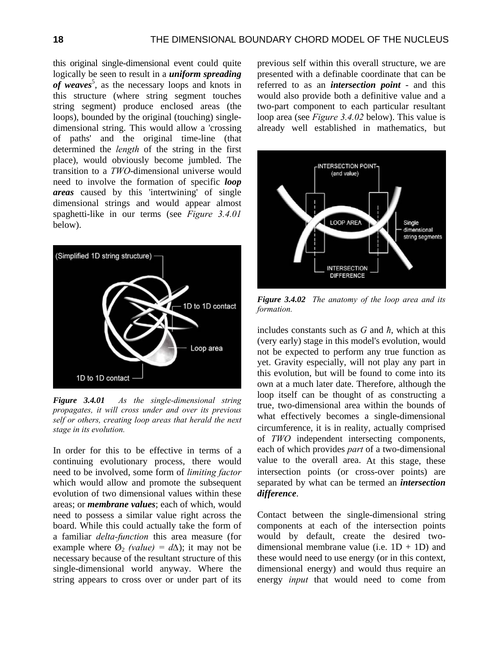this original single-dimensional event could quite logically be seen to result in a *uniform spreading*  of weaves<sup>5</sup>, as the necessary loops and knots in this structure (where string segment touches string segment) produce enclosed areas (the loops), bounded by the original (touching) singledimensional string. This would allow a 'crossing of paths' and the original time-line (that determined the *length* of the string in the first place), would obviously become jumbled. The transition to a *TWO*-dimensional universe would need to involve the formation of specific *loop areas* caused by this 'intertwining' of single dimensional strings and would appear almost spaghetti-like in our terms (see *Figure 3.4.01* below).



*Figure 3.4.01 As the single-dimensional string propagates, it will cross under and over its previous self or others, creating loop areas that herald the next stage in its evolution.*

In order for this to be effective in terms of a continuing evolutionary process, there would need to be involved, some form of *limiting factor* which would allow and promote the subsequent evolution of two dimensional values within these areas; or *membrane values*; each of which, would need to possess a similar value right across the board. While this could actually take the form of a familiar *delta-function* this area measure (for example where  $\emptyset_2$  *(value)* =  $d\Delta$ ); it may not be necessary because of the resultant structure of this single-dimensional world anyway. Where the string appears to cross over or under part of its

previous self within this overall structure, we are presented with a definable coordinate that can be referred to as an *intersection point* - and this would also provide both a definitive value and a two-part component to each particular resultant loop area (see *Figure 3.4.02* below). This value is already well established in mathematics, but



*Figure 3.4.02 The anatomy of the loop area and its formation.* 

includes constants such as *G* and *ħ*, which at this (very early) stage in this model's evolution, would not be expected to perform any true function as yet. Gravity especially, will not play any part in this evolution, but will be found to come into its own at a much later date. Therefore, although the loop itself can be thought of as constructing a true, two-dimensional area within the bounds of what effectively becomes a single-dimensional circumference, it is in reality, actually comprised of *TWO* independent intersecting components, each of which provides *part* of a two-dimensional value to the overall area. At this stage, these intersection points (or cross-over points) are separated by what can be termed an *intersection difference*.

Contact between the single-dimensional string components at each of the intersection points would by default, create the desired twodimensional membrane value (i.e.  $1D + 1D$ ) and these would need to use energy (or in this context, dimensional energy) and would thus require an energy *input* that would need to come from